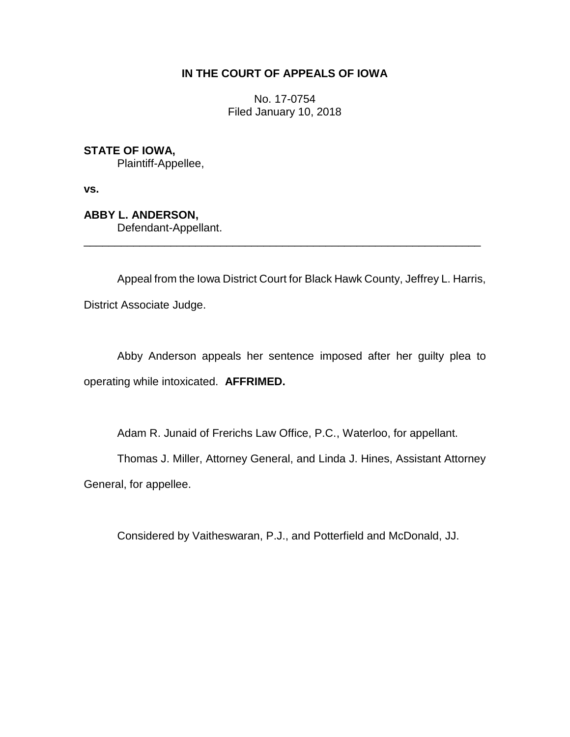# **IN THE COURT OF APPEALS OF IOWA**

No. 17-0754 Filed January 10, 2018

**STATE OF IOWA,**

Plaintiff-Appellee,

**vs.**

**ABBY L. ANDERSON,** Defendant-Appellant.

Appeal from the Iowa District Court for Black Hawk County, Jeffrey L. Harris, District Associate Judge.

\_\_\_\_\_\_\_\_\_\_\_\_\_\_\_\_\_\_\_\_\_\_\_\_\_\_\_\_\_\_\_\_\_\_\_\_\_\_\_\_\_\_\_\_\_\_\_\_\_\_\_\_\_\_\_\_\_\_\_\_\_\_\_\_

Abby Anderson appeals her sentence imposed after her guilty plea to operating while intoxicated. **AFFRIMED.**

Adam R. Junaid of Frerichs Law Office, P.C., Waterloo, for appellant.

Thomas J. Miller, Attorney General, and Linda J. Hines, Assistant Attorney

General, for appellee.

Considered by Vaitheswaran, P.J., and Potterfield and McDonald, JJ.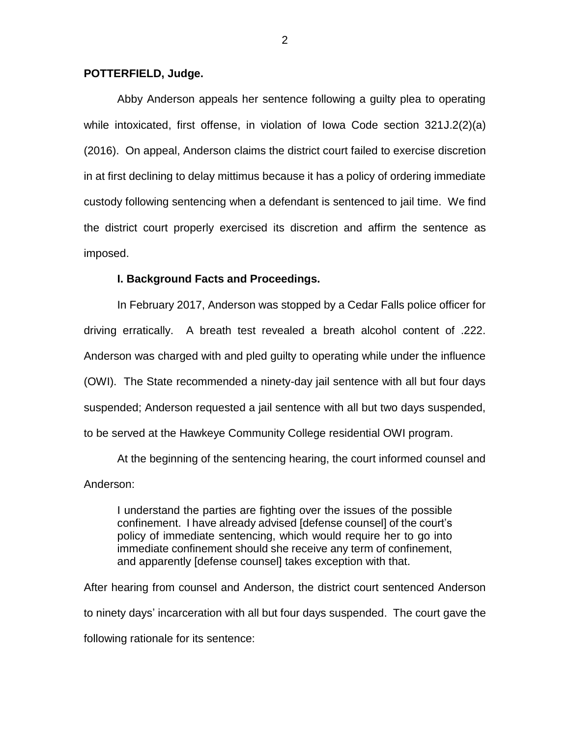### **POTTERFIELD, Judge.**

Abby Anderson appeals her sentence following a guilty plea to operating while intoxicated, first offense, in violation of Iowa Code section 321J.2(2)(a) (2016). On appeal, Anderson claims the district court failed to exercise discretion in at first declining to delay mittimus because it has a policy of ordering immediate custody following sentencing when a defendant is sentenced to jail time. We find the district court properly exercised its discretion and affirm the sentence as imposed.

### **I. Background Facts and Proceedings.**

In February 2017, Anderson was stopped by a Cedar Falls police officer for driving erratically. A breath test revealed a breath alcohol content of .222. Anderson was charged with and pled guilty to operating while under the influence (OWI). The State recommended a ninety-day jail sentence with all but four days suspended; Anderson requested a jail sentence with all but two days suspended, to be served at the Hawkeye Community College residential OWI program.

At the beginning of the sentencing hearing, the court informed counsel and Anderson:

I understand the parties are fighting over the issues of the possible confinement. I have already advised [defense counsel] of the court's policy of immediate sentencing, which would require her to go into immediate confinement should she receive any term of confinement, and apparently [defense counsel] takes exception with that.

After hearing from counsel and Anderson, the district court sentenced Anderson to ninety days' incarceration with all but four days suspended. The court gave the following rationale for its sentence: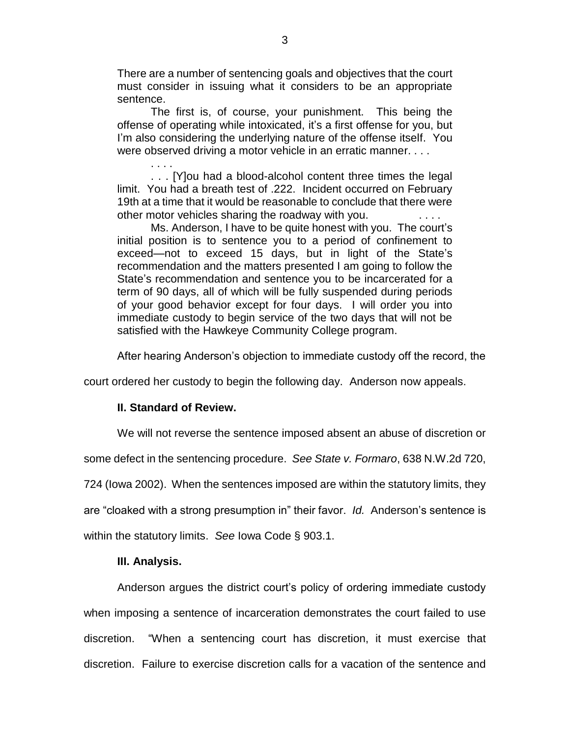There are a number of sentencing goals and objectives that the court must consider in issuing what it considers to be an appropriate sentence.

The first is, of course, your punishment. This being the offense of operating while intoxicated, it's a first offense for you, but I'm also considering the underlying nature of the offense itself. You were observed driving a motor vehicle in an erratic manner. . . .

. . . [Y]ou had a blood-alcohol content three times the legal limit. You had a breath test of .222. Incident occurred on February 19th at a time that it would be reasonable to conclude that there were other motor vehicles sharing the roadway with you.  $\ldots$ 

Ms. Anderson, I have to be quite honest with you. The court's initial position is to sentence you to a period of confinement to exceed—not to exceed 15 days, but in light of the State's recommendation and the matters presented I am going to follow the State's recommendation and sentence you to be incarcerated for a term of 90 days, all of which will be fully suspended during periods of your good behavior except for four days. I will order you into immediate custody to begin service of the two days that will not be satisfied with the Hawkeye Community College program.

After hearing Anderson's objection to immediate custody off the record, the

court ordered her custody to begin the following day. Anderson now appeals.

#### **II. Standard of Review.**

. . . .

We will not reverse the sentence imposed absent an abuse of discretion or

some defect in the sentencing procedure. *See State v. Formaro*, 638 N.W.2d 720,

724 (Iowa 2002). When the sentences imposed are within the statutory limits, they

are "cloaked with a strong presumption in" their favor. *Id.* Anderson's sentence is

within the statutory limits. *See* Iowa Code § 903.1.

## **III. Analysis.**

Anderson argues the district court's policy of ordering immediate custody when imposing a sentence of incarceration demonstrates the court failed to use discretion. "When a sentencing court has discretion, it must exercise that discretion. Failure to exercise discretion calls for a vacation of the sentence and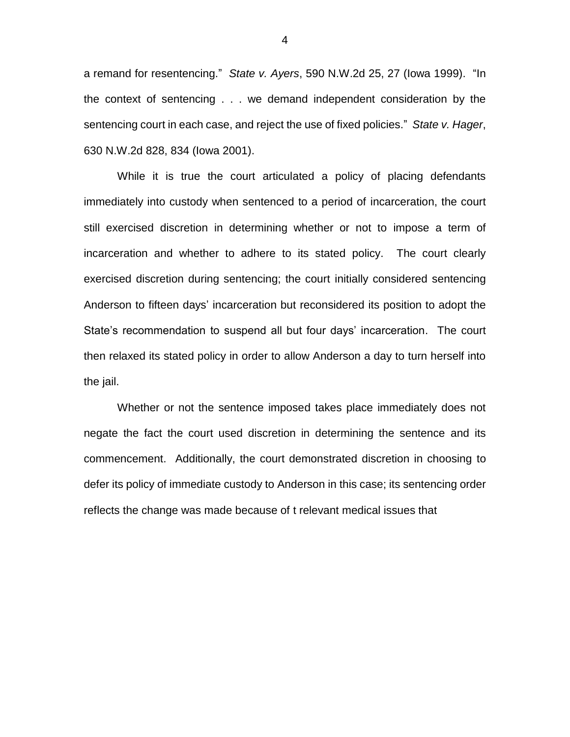a remand for resentencing." *State v. Ayers*, 590 N.W.2d 25, 27 (Iowa 1999). "In the context of sentencing . . . we demand independent consideration by the sentencing court in each case, and reject the use of fixed policies." *State v. Hager*, 630 N.W.2d 828, 834 (Iowa 2001).

While it is true the court articulated a policy of placing defendants immediately into custody when sentenced to a period of incarceration, the court still exercised discretion in determining whether or not to impose a term of incarceration and whether to adhere to its stated policy. The court clearly exercised discretion during sentencing; the court initially considered sentencing Anderson to fifteen days' incarceration but reconsidered its position to adopt the State's recommendation to suspend all but four days' incarceration. The court then relaxed its stated policy in order to allow Anderson a day to turn herself into the jail.

Whether or not the sentence imposed takes place immediately does not negate the fact the court used discretion in determining the sentence and its commencement. Additionally, the court demonstrated discretion in choosing to defer its policy of immediate custody to Anderson in this case; its sentencing order reflects the change was made because of t relevant medical issues that

4